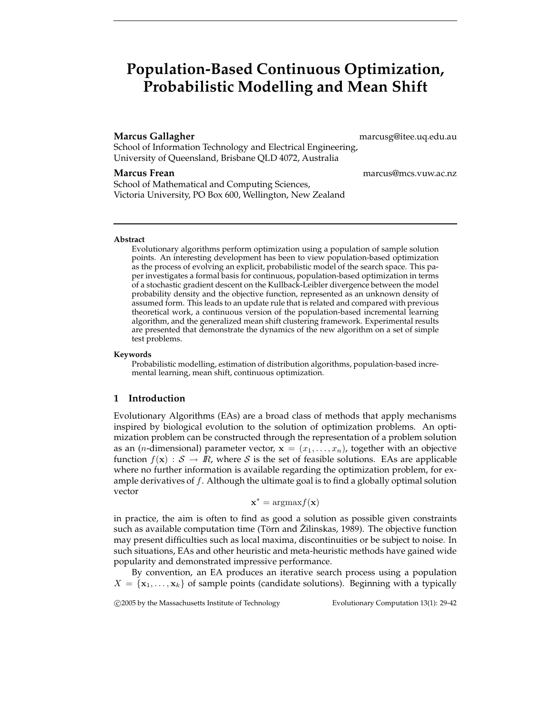# **Population-Based Continuous Optimization, Probabilistic Modelling and Mean Shift**

**Marcus Gallagher** marcusg@itee.uq.edu.au

School of Information Technology and Electrical Engineering, University of Queensland, Brisbane QLD 4072, Australia

School of Mathematical and Computing Sciences, Victoria University, PO Box 600, Wellington, New Zealand

**Marcus Frean** marcus@mcs.vuw.ac.nz

#### **Abstract**

Evolutionary algorithms perform optimization using a population of sample solution points. An interesting development has been to view population-based optimization as the process of evolving an explicit, probabilistic model of the search space. This paper investigates a formal basis for continuous, population-based optimization in terms of a stochastic gradient descent on the Kullback-Leibler divergence between the model probability density and the objective function, represented as an unknown density of assumed form. This leads to an update rule that is related and compared with previous theoretical work, a continuous version of the population-based incremental learning algorithm, and the generalized mean shift clustering framework. Experimental results are presented that demonstrate the dynamics of the new algorithm on a set of simple test problems.

#### **Keywords**

Probabilistic modelling, estimation of distribution algorithms, population-based incremental learning, mean shift, continuous optimization.

### **1 Introduction**

Evolutionary Algorithms (EAs) are a broad class of methods that apply mechanisms inspired by biological evolution to the solution of optimization problems. An optimization problem can be constructed through the representation of a problem solution as an (*n*-dimensional) parameter vector,  $\mathbf{x} = (x_1, \ldots, x_n)$ , together with an objective function  $f(\mathbf{x}) : \mathcal{S} \to \mathbb{R}$ , where S is the set of feasible solutions. EAs are applicable where no further information is available regarding the optimization problem, for example derivatives of  $f$ . Although the ultimate goal is to find a globally optimal solution vector

$$
\mathbf{x}^* = \mathrm{argmax} f(\mathbf{x})
$$

in practice, the aim is often to find as good a solution as possible given constraints such as available computation time (Törn and Zilinskas, 1989). The objective function may present difficulties such as local maxima, discontinuities or be subject to noise. In such situations, EAs and other heuristic and meta-heuristic methods have gained wide popularity and demonstrated impressive performance.

By convention, an EA produces an iterative search process using a population  $X = \{x_1, \ldots, x_k\}$  of sample points (candidate solutions). Beginning with a typically

c 2005 by the Massachusetts Institute of Technology Evolutionary Computation 13(1): 29-42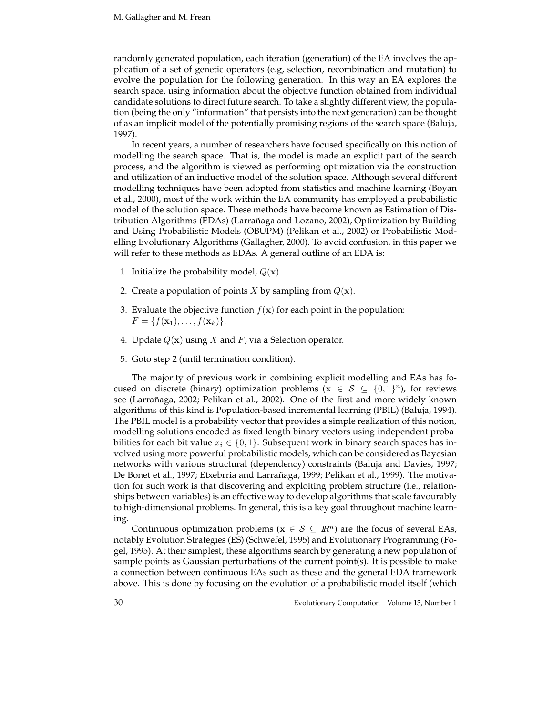randomly generated population, each iteration (generation) of the EA involves the application of a set of genetic operators (e.g, selection, recombination and mutation) to evolve the population for the following generation. In this way an EA explores the search space, using information about the objective function obtained from individual candidate solutions to direct future search. To take a slightly different view, the population (being the only "information" that persists into the next generation) can be thought of as an implicit model of the potentially promising regions of the search space (Baluja, 1997).

In recent years, a number of researchers have focused specifically on this notion of modelling the search space. That is, the model is made an explicit part of the search process, and the algorithm is viewed as performing optimization via the construction and utilization of an inductive model of the solution space. Although several different modelling techniques have been adopted from statistics and machine learning (Boyan et al., 2000), most of the work within the EA community has employed a probabilistic model of the solution space. These methods have become known as Estimation of Distribution Algorithms (EDAs) (Larrañaga and Lozano, 2002), Optimization by Building and Using Probabilistic Models (OBUPM) (Pelikan et al., 2002) or Probabilistic Modelling Evolutionary Algorithms (Gallagher, 2000). To avoid confusion, in this paper we will refer to these methods as EDAs. A general outline of an EDA is:

- 1. Initialize the probability model,  $Q(\mathbf{x})$ .
- 2. Create a population of points <sup>X</sup> by sampling from <sup>Q</sup>(**x**).
- 3. Evaluate the objective function  $f(\mathbf{x})$  for each point in the population:  $F = \{f(\mathbf{x}_1), \ldots, f(\mathbf{x}_k)\}.$
- 4. Update  $Q(x)$  using X and F, via a Selection operator.
- 5. Goto step 2 (until termination condition).

The majority of previous work in combining explicit modelling and EAs has focused on discrete (binary) optimization problems ( $\mathbf{x} \in S \subseteq \{0, 1\}^n$ ), for reviews see (Larrañaga, 2002; Pelikan et al., 2002). One of the first and more widely-known algorithms of this kind is Population-based incremental learning (PBIL) (Baluja, 1994). The PBIL model is a probability vector that provides a simple realization of this notion, modelling solutions encoded as fixed length binary vectors using independent probabilities for each bit value  $x_i \in \{0, 1\}$ . Subsequent work in binary search spaces has involved using more powerful probabilistic models, which can be considered as Bayesian networks with various structural (dependency) constraints (Baluja and Davies, 1997; De Bonet et al., 1997; Etxebrria and Larrañaga, 1999; Pelikan et al., 1999). The motivation for such work is that discovering and exploiting problem structure (i.e., relationships between variables) is an effective way to develop algorithms that scale favourably to high-dimensional problems. In general, this is a key goal throughout machine learning.

Continuous optimization problems ( $\mathbf{x} \in \mathcal{S} \subseteq \mathbb{R}^n$ ) are the focus of several EAs, notably Evolution Strategies (ES) (Schwefel, 1995) and Evolutionary Programming (Fogel, 1995). At their simplest, these algorithms search by generating a new population of sample points as Gaussian perturbations of the current point(s). It is possible to make a connection between continuous EAs such as these and the general EDA framework above. This is done by focusing on the evolution of a probabilistic model itself (which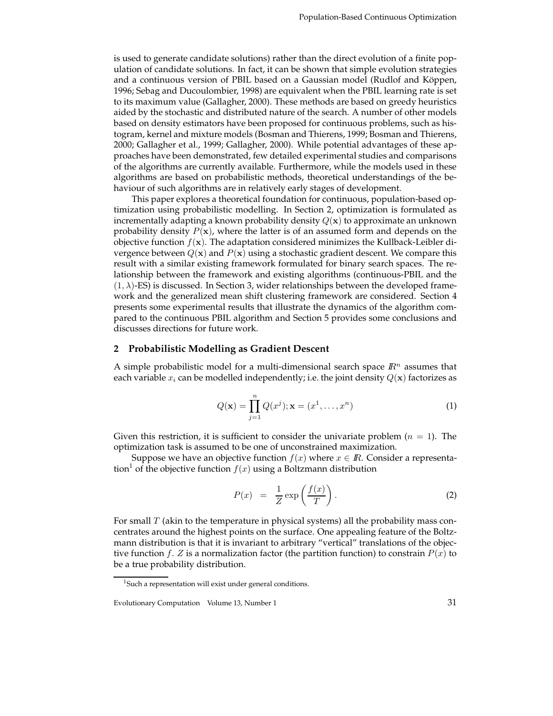is used to generate candidate solutions) rather than the direct evolution of a finite population of candidate solutions. In fact, it can be shown that simple evolution strategies and a continuous version of PBIL based on a Gaussian model (Rudlof and Köppen, 1996; Sebag and Ducoulombier, 1998) are equivalent when the PBIL learning rate is set to its maximum value (Gallagher, 2000). These methods are based on greedy heuristics aided by the stochastic and distributed nature of the search. A number of other models based on density estimators have been proposed for continuous problems, such as histogram, kernel and mixture models (Bosman and Thierens, 1999; Bosman and Thierens, 2000; Gallagher et al., 1999; Gallagher, 2000). While potential advantages of these approaches have been demonstrated, few detailed experimental studies and comparisons of the algorithms are currently available. Furthermore, while the models used in these algorithms are based on probabilistic methods, theoretical understandings of the behaviour of such algorithms are in relatively early stages of development.

This paper explores a theoretical foundation for continuous, population-based optimization using probabilistic modelling. In Section 2, optimization is formulated as incrementally adapting a known probability density <sup>Q</sup>(**x**) to approximate an unknown probability density <sup>P</sup>(**x**), where the latter is of an assumed form and depends on the objective function  $f(\mathbf{x})$ . The adaptation considered minimizes the Kullback-Leibler divergence between  $Q(\mathbf{x})$  and  $P(\mathbf{x})$  using a stochastic gradient descent. We compare this result with a similar existing framework formulated for binary search spaces. The relationship between the framework and existing algorithms (continuous-PBIL and the  $(1, \lambda)$ -ES) is discussed. In Section 3, wider relationships between the developed framework and the generalized mean shift clustering framework are considered. Section 4 presents some experimental results that illustrate the dynamics of the algorithm compared to the continuous PBIL algorithm and Section 5 provides some conclusions and discusses directions for future work.

## **2 Probabilistic Modelling as Gradient Descent**

A simple probabilistic model for a multi-dimensional search space  $\mathbb{R}^n$  assumes that each variable  $x_i$  can be modelled independently; i.e. the joint density  $Q(\mathbf{x})$  factorizes as

$$
Q(\mathbf{x}) = \prod_{j=1}^{n} Q(x^{j}); \mathbf{x} = (x^{1}, \dots, x^{n})
$$
 (1)

Given this restriction, it is sufficient to consider the univariate problem  $(n = 1)$ . The optimization task is assumed to be one of unconstrained maximization.

Suppose we have an objective function  $f(x)$  where  $x \in \mathbb{R}$ . Consider a representation<sup>1</sup> of the objective function  $f(x)$  using a Boltzmann distribution

$$
P(x) = \frac{1}{Z} \exp\left(\frac{f(x)}{T}\right). \tag{2}
$$

For small  $T$  (akin to the temperature in physical systems) all the probability mass concentrates around the highest points on the surface. One appealing feature of the Boltzmann distribution is that it is invariant to arbitrary "vertical" translations of the objective function f. Z is a normalization factor (the partition function) to constrain  $P(x)$  to be a true probability distribution.

<sup>&</sup>lt;sup>1</sup>Such a representation will exist under general conditions.

Evolutionary Computation Volume 13, Number 1 31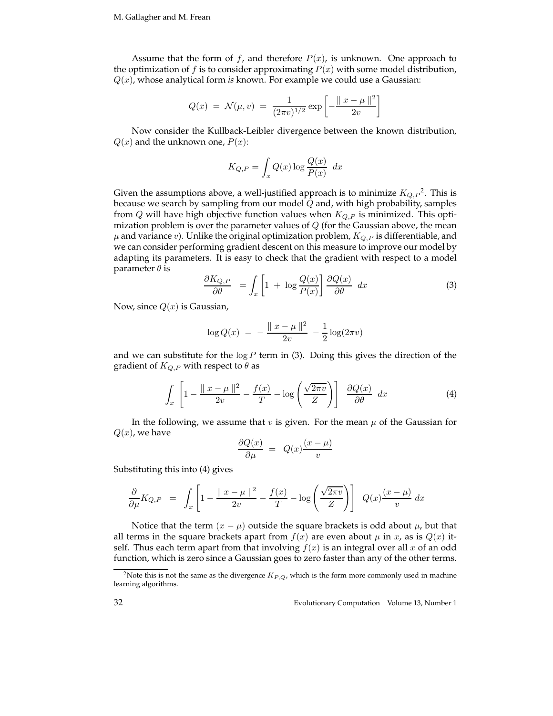Assume that the form of f, and therefore  $P(x)$ , is unknown. One approach to the optimization of  $f$  is to consider approximating  $P(x)$  with some model distribution, <sup>Q</sup>(x), whose analytical form *is* known. For example we could use a Gaussian:

$$
Q(x) = \mathcal{N}(\mu, v) = \frac{1}{(2\pi v)^{1/2}} \exp \left[ -\frac{\|x - \mu\|^2}{2v} \right]
$$

Now consider the Kullback-Leibler divergence between the known distribution,  $Q(x)$  and the unknown one,  $P(x)$ :

$$
K_{Q,P} = \int_{x} Q(x) \log \frac{Q(x)}{P(x)} dx
$$

Given the assumptions above, a well-justified approach is to minimize  $K_{Q,P}^2$ . This is because we search by sampling from our model  $Q$  and, with high probability, samples from  $Q$  will have high objective function values when  $K_{Q,P}$  is minimized. This optimization problem is over the parameter values of  $Q$  (for the Gaussian above, the mean  $\mu$  and variance  $v$ ). Unlike the original optimization problem,  $K_{Q,P}$  is differentiable, and we can consider performing gradient descent on this measure to improve our model by adapting its parameters. It is easy to check that the gradient with respect to a model parameter  $\theta$  is

$$
\frac{\partial K_{Q,P}}{\partial \theta} = \int_{x} \left[ 1 + \log \frac{Q(x)}{P(x)} \right] \frac{\partial Q(x)}{\partial \theta} dx \tag{3}
$$

Now, since  $Q(x)$  is Gaussian,

$$
\log Q(x) = -\frac{\|x - \mu\|^2}{2v} - \frac{1}{2}\log(2\pi v)
$$

and we can substitute for the  $log P$  term in (3). Doing this gives the direction of the gradient of  $K_{Q,P}$  with respect to  $\theta$  as

$$
\int_{x} \left[ 1 - \frac{\|x - \mu\|^2}{2v} - \frac{f(x)}{T} - \log\left(\frac{\sqrt{2\pi v}}{Z}\right) \right] \frac{\partial Q(x)}{\partial \theta} dx \tag{4}
$$

In the following, we assume that  $v$  is given. For the mean  $\mu$  of the Gaussian for  $Q(x)$ , we have

$$
\frac{\partial Q(x)}{\partial \mu} = Q(x) \frac{(x - \mu)}{v}
$$

Substituting this into (4) gives

$$
\frac{\partial}{\partial \mu} K_{Q,P} = \int_x \left[ 1 - \frac{\|x - \mu\|^2}{2v} - \frac{f(x)}{T} - \log\left(\frac{\sqrt{2\pi v}}{Z}\right) \right] Q(x) \frac{(x - \mu)}{v} dx
$$

Notice that the term  $(x - \mu)$  outside the square brackets is odd about  $\mu$ , but that all terms in the square brackets apart from  $f(x)$  are even about  $\mu$  in x, as is  $Q(x)$  itself. Thus each term apart from that involving  $f(x)$  is an integral over all x of an odd function, which is zero since a Gaussian goes to zero faster than any of the other terms.

<sup>&</sup>lt;sup>2</sup>Note this is not the same as the divergence  $K_{P,Q}$ , which is the form more commonly used in machine learning algorithms.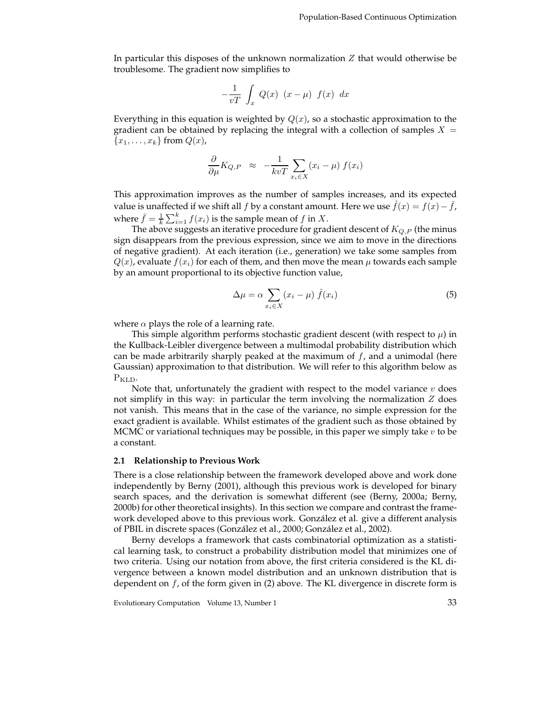In particular this disposes of the unknown normalization Z that would otherwise be troublesome. The gradient now simplifies to

$$
-\frac{1}{vT} \int_x Q(x) (x - \mu) f(x) dx
$$

Everything in this equation is weighted by  $Q(x)$ , so a stochastic approximation to the gradient can be obtained by replacing the integral with a collection of samples  $X =$  ${x_1, \ldots, x_k}$  from  $Q(x)$ ,

$$
\frac{\partial}{\partial \mu} K_{Q,P} \approx -\frac{1}{kvT} \sum_{x_i \in X} (x_i - \mu) f(x_i)
$$

This approximation improves as the number of samples increases, and its expected value is unaffected if we shift all f by a constant amount. Here we use  $\bar{f}(x) = f(x) - \bar{f}$ , where  $\bar{f} = \frac{1}{k} \sum_{i=1}^{k} f(x_i)$  is the sample mean of f in X.<br>The above suggests an iterative procedure for grad

The above suggests an iterative procedure for gradient descent of K*Q,P* (the minus sign disappears from the previous expression, since we aim to move in the directions of negative gradient). At each iteration (i.e., generation) we take some samples from  $Q(x)$ , evaluate  $f(x_i)$  for each of them, and then move the mean  $\mu$  towards each sample by an amount proportional to its objective function value,

$$
\Delta \mu = \alpha \sum_{x_i \in X} (x_i - \mu) \hat{f}(x_i)
$$
\n(5)

where  $\alpha$  plays the role of a learning rate.

This simple algorithm performs stochastic gradient descent (with respect to  $\mu$ ) in the Kullback-Leibler divergence between a multimodal probability distribution which can be made arbitrarily sharply peaked at the maximum of  $f$ , and a unimodal (here Gaussian) approximation to that distribution. We will refer to this algorithm below as P<sub>KLD</sub>.

Note that, unfortunately the gradient with respect to the model variance  $v$  does not simplify in this way: in particular the term involving the normalization  $Z$  does not vanish. This means that in the case of the variance, no simple expression for the exact gradient is available. Whilst estimates of the gradient such as those obtained by MCMC or variational techniques may be possible, in this paper we simply take  $v$  to be a constant.

#### **2.1 Relationship to Previous Work**

There is a close relationship between the framework developed above and work done independently by Berny (2001), although this previous work is developed for binary search spaces, and the derivation is somewhat different (see (Berny, 2000a; Berny, 2000b) for other theoretical insights). In this section we compare and contrast the framework developed above to this previous work. González et al. give a different analysis of PBIL in discrete spaces (González et al., 2000; González et al., 2002).

Berny develops a framework that casts combinatorial optimization as a statistical learning task, to construct a probability distribution model that minimizes one of two criteria. Using our notation from above, the first criteria considered is the KL divergence between a known model distribution and an unknown distribution that is dependent on  $f$ , of the form given in  $(2)$  above. The KL divergence in discrete form is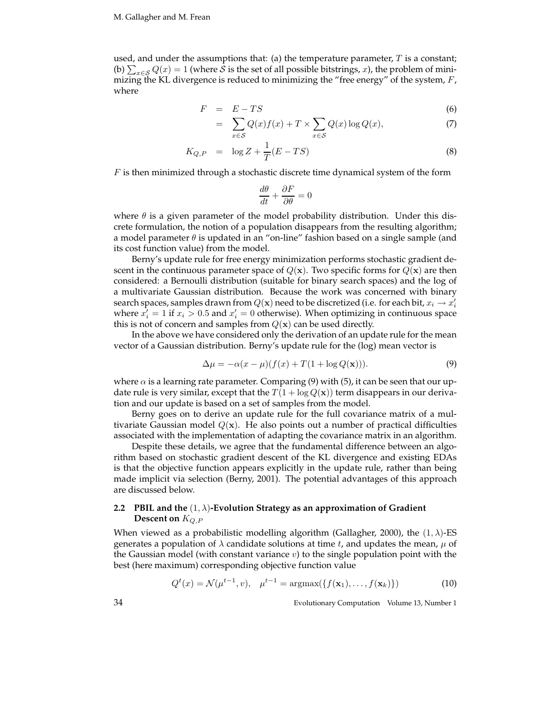used, and under the assumptions that: (a) the temperature parameter,  $T$  is a constant; (b)  $\sum_{x \in \mathcal{S}} Q(x) = 1$  (where  $\hat{\mathcal{S}}$  is the set of all possible bitstrings, x), the problem of mini-<br>mizing the KL divergence is reduced to minimizing the "free energy" of the system F mizing the KL divergence is reduced to minimizing the "free energy" of the system,  $F$ , where

$$
F = E - TS \tag{6}
$$

$$
= \sum_{x \in S} Q(x)f(x) + T \times \sum_{x \in S} Q(x)\log Q(x), \tag{7}
$$

$$
K_{Q,P} = \log Z + \frac{1}{T}(E - TS) \tag{8}
$$

 $F$  is then minimized through a stochastic discrete time dynamical system of the form

$$
\frac{d\theta}{dt}+\frac{\partial F}{\partial \theta}=0
$$

where  $\theta$  is a given parameter of the model probability distribution. Under this discrete formulation, the notion of a population disappears from the resulting algorithm; a model parameter  $\theta$  is updated in an "on-line" fashion based on a single sample (and its cost function value) from the model.

Berny's update rule for free energy minimization performs stochastic gradient descent in the continuous parameter space of  $Q(\mathbf{x})$ . Two specific forms for  $Q(\mathbf{x})$  are then considered: a Bernoulli distribution (suitable for binary search spaces) and the log of a multivariate Gaussian distribution. Because the work was concerned with binary search spaces, samples drawn from  $Q(x)$  need to be discretized (i.e. for each bit,  $x_i \rightarrow x'_i$ <br>where  $x' = 1$  if  $x_i > 0.5$  and  $x' = 0$  otherwise). When optimizing in continuous space where  $\hat{x'_i} = 1$  if  $x_i > 0.5$  and  $x'_i = 0$  otherwise). When optimizing in continuous space this is not of concern and samples from  $O(x)$  can be used directly this is not of concern and samples from  $Q(x)$  can be used directly.

In the above we have considered only the derivation of an update rule for the mean vector of a Gaussian distribution. Berny's update rule for the (log) mean vector is

$$
\Delta \mu = -\alpha (x - \mu)(f(x) + T(1 + \log Q(\mathbf{x}))). \tag{9}
$$

where  $\alpha$  is a learning rate parameter. Comparing (9) with (5), it can be seen that our update rule is very similar, except that the  $T(1 + \log Q(x))$  term disappears in our derivation and our update is based on a set of samples from the model.

Berny goes on to derive an update rule for the full covariance matrix of a multivariate Gaussian model  $Q(x)$ . He also points out a number of practical difficulties associated with the implementation of adapting the covariance matrix in an algorithm.

Despite these details, we agree that the fundamental difference between an algorithm based on stochastic gradient descent of the KL divergence and existing EDAs is that the objective function appears explicitly in the update rule, rather than being made implicit via selection (Berny, 2001). The potential advantages of this approach are discussed below.

### **2.2 PBIL and the** (1, λ)**-Evolution Strategy as an approximation of Gradient Descent on** K*Q,P*

When viewed as a probabilistic modelling algorithm (Gallagher, 2000), the  $(1, \lambda)$ -ES generates a population of  $\lambda$  candidate solutions at time t, and updates the mean,  $\mu$  of the Gaussian model (with constant variance  $v$ ) to the single population point with the best (here maximum) corresponding objective function value

$$
Q^{t}(x) = \mathcal{N}(\mu^{t-1}, v), \quad \mu^{t-1} = \operatorname{argmax}(\{f(\mathbf{x}_1), \dots, f(\mathbf{x}_k)\})
$$
(10)

34 Evolutionary Computation Volume 13, Number 1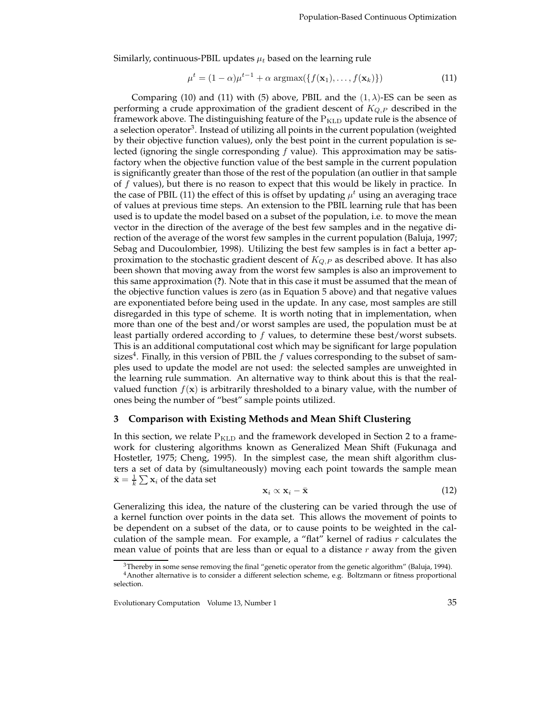Similarly, continuous-PBIL updates  $\mu_t$  based on the learning rule

$$
\mu^t = (1 - \alpha)\mu^{t-1} + \alpha \operatorname{argmax}(\{f(\mathbf{x}_1), \dots, f(\mathbf{x}_k)\})
$$
\n(11)

Comparing (10) and (11) with (5) above, PBIL and the  $(1, \lambda)$ -ES can be seen as performing a crude approximation of the gradient descent of K*Q,P* described in the framework above. The distinguishing feature of the  $P_{KLD}$  update rule is the absence of a selection operator<sup>3</sup>. Instead of utilizing all points in the current population (weighted by their objective function values), only the best point in the current population is selected (ignoring the single corresponding  $f$  value). This approximation may be satisfactory when the objective function value of the best sample in the current population is significantly greater than those of the rest of the population (an outlier in that sample of f values), but there is no reason to expect that this would be likely in practice. In the case of PBIL (11) the effect of this is offset by updating  $\mu^t$  using an averaging trace of values at previous time steps. An extension to the PBIL learning rule that has been used is to update the model based on a subset of the population, i.e. to move the mean vector in the direction of the average of the best few samples and in the negative direction of the average of the worst few samples in the current population (Baluja, 1997; Sebag and Ducoulombier, 1998). Utilizing the best few samples is in fact a better approximation to the stochastic gradient descent of K*Q,P* as described above. It has also been shown that moving away from the worst few samples is also an improvement to this same approximation (**?**). Note that in this case it must be assumed that the mean of the objective function values is zero (as in Equation 5 above) and that negative values are exponentiated before being used in the update. In any case, most samples are still disregarded in this type of scheme. It is worth noting that in implementation, when more than one of the best and/or worst samples are used, the population must be at least partially ordered according to f values, to determine these best/worst subsets. This is an additional computational cost which may be significant for large population sizes<sup>4</sup>. Finally, in this version of PBIL the f values corresponding to the subset of samples used to update the model are not used: the selected samples are unweighted in the learning rule summation. An alternative way to think about this is that the realvalued function  $f(\mathbf{x})$  is arbitrarily thresholded to a binary value, with the number of ones being the number of "best" sample points utilized.

#### **3 Comparison with Existing Methods and Mean Shift Clustering**

In this section, we relate  $P_{KLD}$  and the framework developed in Section 2 to a framework for clustering algorithms known as Generalized Mean Shift (Fukunaga and Hostetler, 1975; Cheng, 1995). In the simplest case, the mean shift algorithm clusters a set of data by (simultaneously) moving each point towards the sample mean  $\bar{\mathbf{x}} = \frac{1}{k} \sum \mathbf{x}_i$  of the data set

$$
\mathbf{x}_i \propto \mathbf{x}_i - \bar{\mathbf{x}} \tag{12}
$$

Generalizing this idea, the nature of the clustering can be varied through the use of a kernel function over points in the data set. This allows the movement of points to be dependent on a subset of the data, or to cause points to be weighted in the calculation of the sample mean. For example, a "flat" kernel of radius  $r$  calculates the mean value of points that are less than or equal to a distance  $r$  away from the given

 $3$ Thereby in some sense removing the final "genetic operator from the genetic algorithm" (Baluja, 1994).

<sup>4</sup>Another alternative is to consider a different selection scheme, e.g. Boltzmann or fitness proportional selection.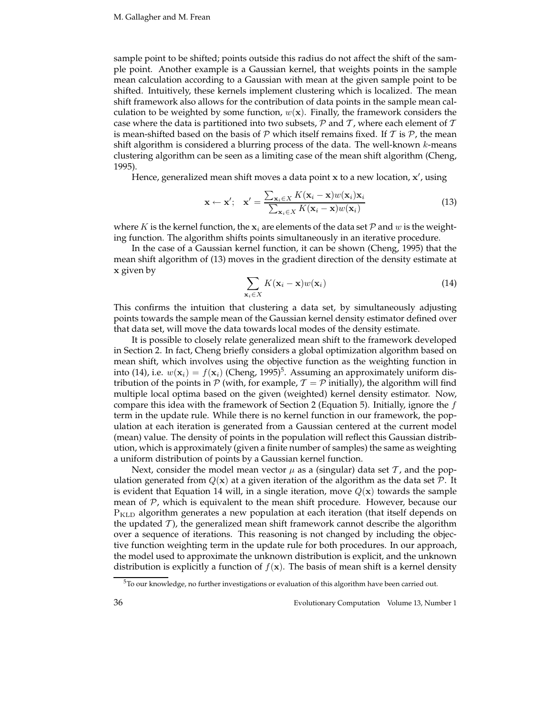sample point to be shifted; points outside this radius do not affect the shift of the sample point. Another example is a Gaussian kernel, that weights points in the sample mean calculation according to a Gaussian with mean at the given sample point to be shifted. Intuitively, these kernels implement clustering which is localized. The mean shift framework also allows for the contribution of data points in the sample mean calculation to be weighted by some function,  $w(\mathbf{x})$ . Finally, the framework considers the case where the data is partitioned into two subsets,  $P$  and  $T$ , where each element of  $T$ is mean-shifted based on the basis of  $P$  which itself remains fixed. If  $T$  is  $P$ , the mean shift algorithm is considered a blurring process of the data. The well-known  $k$ -means clustering algorithm can be seen as a limiting case of the mean shift algorithm (Cheng, 1995).

Hence, generalized mean shift moves a data point **x** to a new location, **x** , using

$$
\mathbf{x} \leftarrow \mathbf{x}'; \quad \mathbf{x}' = \frac{\sum_{\mathbf{x}_i \in X} K(\mathbf{x}_i - \mathbf{x}) w(\mathbf{x}_i) \mathbf{x}_i}{\sum_{\mathbf{x}_i \in X} K(\mathbf{x}_i - \mathbf{x}) w(\mathbf{x}_i)}
$$
(13)

where K is the kernel function, the  $\mathbf{x}_i$  are elements of the data set  $\mathcal{P}$  and w is the weighting function. The algorithm shifts points simultaneously in an iterative procedure.

In the case of a Gaussian kernel function, it can be shown (Cheng, 1995) that the mean shift algorithm of (13) moves in the gradient direction of the density estimate at **x** given by

$$
\sum_{\mathbf{x}_i \in X} K(\mathbf{x}_i - \mathbf{x}) w(\mathbf{x}_i)
$$
\n(14)

This confirms the intuition that clustering a data set, by simultaneously adjusting points towards the sample mean of the Gaussian kernel density estimator defined over that data set, will move the data towards local modes of the density estimate.

It is possible to closely relate generalized mean shift to the framework developed in Section 2. In fact, Cheng briefly considers a global optimization algorithm based on mean shift, which involves using the objective function as the weighting function in into (14), i.e.  $w(\mathbf{x}_i) = f(\mathbf{x}_i)$  (Cheng, 1995)<sup>5</sup>. Assuming an approximately uniform distribution of the points in P (with, for example,  $\mathcal{T} = \mathcal{P}$  initially), the algorithm will find multiple local optima based on the given (weighted) kernel density estimator. Now, compare this idea with the framework of Section 2 (Equation 5). Initially, ignore the  $f$ term in the update rule. While there is no kernel function in our framework, the population at each iteration is generated from a Gaussian centered at the current model (mean) value. The density of points in the population will reflect this Gaussian distribution, which is approximately (given a finite number of samples) the same as weighting a uniform distribution of points by a Gaussian kernel function.

Next, consider the model mean vector  $\mu$  as a (singular) data set  $\tau$ , and the population generated from  $Q(x)$  at a given iteration of the algorithm as the data set  $P$ . It is evident that Equation 14 will, in a single iteration, move  $Q(\mathbf{x})$  towards the sample mean of  $P$ , which is equivalent to the mean shift procedure. However, because our P<sub>KLD</sub> algorithm generates a new population at each iteration (that itself depends on the updated  $\mathcal{T}$ ), the generalized mean shift framework cannot describe the algorithm over a sequence of iterations. This reasoning is not changed by including the objective function weighting term in the update rule for both procedures. In our approach, the model used to approximate the unknown distribution is explicit, and the unknown distribution is explicitly a function of  $f(\mathbf{x})$ . The basis of mean shift is a kernel density

<sup>5</sup>To our knowledge, no further investigations or evaluation of this algorithm have been carried out.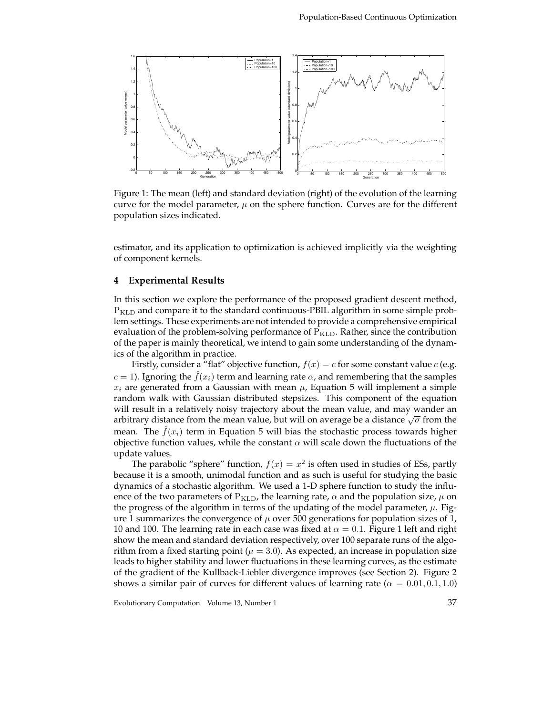

Figure 1: The mean (left) and standard deviation (right) of the evolution of the learning curve for the model parameter,  $\mu$  on the sphere function. Curves are for the different population sizes indicated.

estimator, and its application to optimization is achieved implicitly via the weighting of component kernels.

#### **4 Experimental Results**

In this section we explore the performance of the proposed gradient descent method, <sup>P</sup>KLD and compare it to the standard continuous-PBIL algorithm in some simple problem settings. These experiments are not intended to provide a comprehensive empirical evaluation of the problem-solving performance of  $P_{KLD}$ . Rather, since the contribution of the paper is mainly theoretical, we intend to gain some understanding of the dynamics of the algorithm in practice.

Firstly, consider a "flat" objective function,  $f(x) = c$  for some constant value c (e.g.  $c = 1$ ). Ignoring the  $f(x_i)$  term and learning rate  $\alpha$ , and remembering that the samples  $x_i$  are generated from a Gaussian with mean  $\mu$ , Equation 5 will implement a simple random walk with Gaussian distributed stepsizes. This component of the equation will result in a relatively noisy trajectory about the mean value, and may wander an arbitrary distance from the mean value, but will on average be a distance  $\sqrt{\sigma}$  from the mean. The  $\hat{f}(x_i)$  term in Equation 5 will bias the stochastic process towards higher objective function values, while the constant  $\alpha$  will scale down the fluctuations of the update values.

The parabolic "sphere" function,  $f(x) = x^2$  is often used in studies of ESs, partly because it is a smooth, unimodal function and as such is useful for studying the basic dynamics of a stochastic algorithm. We used a 1-D sphere function to study the influence of the two parameters of  $P_{KLD}$ , the learning rate,  $\alpha$  and the population size,  $\mu$  on the progress of the algorithm in terms of the updating of the model parameter,  $\mu$ . Figure 1 summarizes the convergence of  $\mu$  over 500 generations for population sizes of 1, 10 and 100. The learning rate in each case was fixed at  $\alpha = 0.1$ . Figure 1 left and right show the mean and standard deviation respectively, over 100 separate runs of the algorithm from a fixed starting point ( $\mu = 3.0$ ). As expected, an increase in population size leads to higher stability and lower fluctuations in these learning curves, as the estimate of the gradient of the Kullback-Liebler divergence improves (see Section 2). Figure 2 shows a similar pair of curves for different values of learning rate ( $\alpha = 0.01, 0.1, 1.0$ )

Evolutionary Computation Volume 13, Number 1 37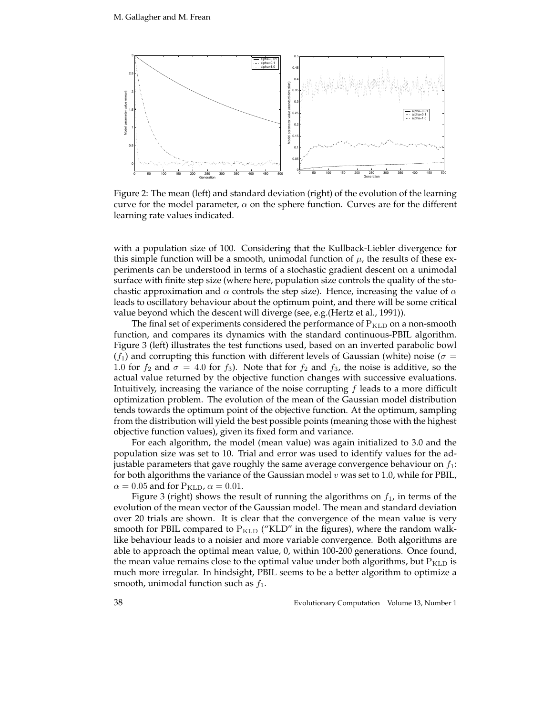

Figure 2: The mean (left) and standard deviation (right) of the evolution of the learning curve for the model parameter,  $\alpha$  on the sphere function. Curves are for the different learning rate values indicated.

with a population size of 100. Considering that the Kullback-Liebler divergence for this simple function will be a smooth, unimodal function of  $\mu$ , the results of these experiments can be understood in terms of a stochastic gradient descent on a unimodal surface with finite step size (where here, population size controls the quality of the stochastic approximation and  $\alpha$  controls the step size). Hence, increasing the value of  $\alpha$ leads to oscillatory behaviour about the optimum point, and there will be some critical value beyond which the descent will diverge (see, e.g.(Hertz et al., 1991)).

The final set of experiments considered the performance of  $P_{KLD}$  on a non-smooth function, and compares its dynamics with the standard continuous-PBIL algorithm. Figure 3 (left) illustrates the test functions used, based on an inverted parabolic bowl  $(f_1)$  and corrupting this function with different levels of Gaussian (white) noise ( $\sigma =$ 1.0 for  $f_2$  and  $\sigma = 4.0$  for  $f_3$ ). Note that for  $f_2$  and  $f_3$ , the noise is additive, so the actual value returned by the objective function changes with successive evaluations. Intuitively, increasing the variance of the noise corrupting  $f$  leads to a more difficult optimization problem. The evolution of the mean of the Gaussian model distribution tends towards the optimum point of the objective function. At the optimum, sampling from the distribution will yield the best possible points (meaning those with the highest objective function values), given its fixed form and variance.

For each algorithm, the model (mean value) was again initialized to 3.0 and the population size was set to 10. Trial and error was used to identify values for the adjustable parameters that gave roughly the same average convergence behaviour on  $f_1$ : for both algorithms the variance of the Gaussian model  $v$  was set to 1.0, while for PBIL,  $\alpha = 0.05$  and for  $P_{\text{KLD}}$ ,  $\alpha = 0.01$ .

Figure 3 (right) shows the result of running the algorithms on  $f_1$ , in terms of the evolution of the mean vector of the Gaussian model. The mean and standard deviation over 20 trials are shown. It is clear that the convergence of the mean value is very smooth for PBIL compared to  $P_{KLD}$  ("KLD" in the figures), where the random walklike behaviour leads to a noisier and more variable convergence. Both algorithms are able to approach the optimal mean value, 0, within 100-200 generations. Once found, the mean value remains close to the optimal value under both algorithms, but  $P_{KLD}$  is much more irregular. In hindsight, PBIL seems to be a better algorithm to optimize a smooth, unimodal function such as  $f_1$ .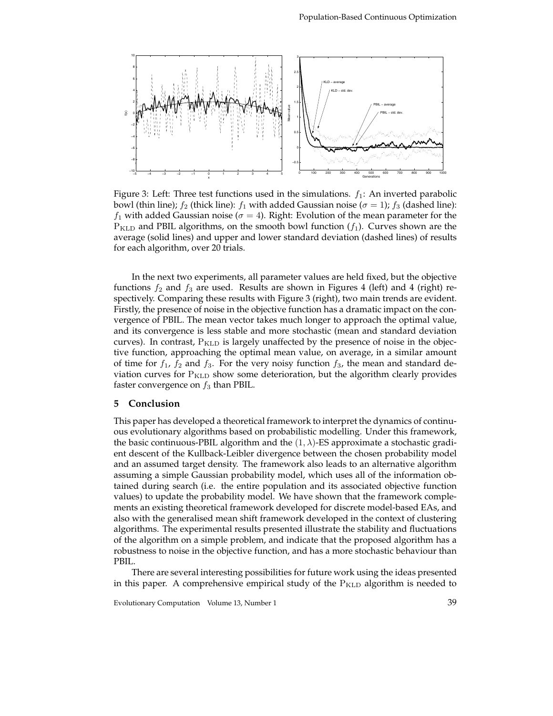

Figure 3: Left: Three test functions used in the simulations.  $f_1$ : An inverted parabolic bowl (thin line);  $f_2$  (thick line):  $f_1$  with added Gaussian noise ( $\sigma = 1$ );  $f_3$  (dashed line):  $f_1$  with added Gaussian noise ( $\sigma = 4$ ). Right: Evolution of the mean parameter for the  $P_{\text{KLD}}$  and PBIL algorithms, on the smooth bowl function  $(f_1)$ . Curves shown are the average (solid lines) and upper and lower standard deviation (dashed lines) of results for each algorithm, over 20 trials.

In the next two experiments, all parameter values are held fixed, but the objective functions  $f_2$  and  $f_3$  are used. Results are shown in Figures 4 (left) and 4 (right) respectively. Comparing these results with Figure 3 (right), two main trends are evident. Firstly, the presence of noise in the objective function has a dramatic impact on the convergence of PBIL. The mean vector takes much longer to approach the optimal value, and its convergence is less stable and more stochastic (mean and standard deviation curves). In contrast,  $P_{KLD}$  is largely unaffected by the presence of noise in the objective function, approaching the optimal mean value, on average, in a similar amount of time for  $f_1$ ,  $f_2$  and  $f_3$ . For the very noisy function  $f_3$ , the mean and standard deviation curves for  $P_{KLD}$  show some deterioration, but the algorithm clearly provides faster convergence on  $f_3$  than PBIL.

#### **5 Conclusion**

This paper has developed a theoretical framework to interpret the dynamics of continuous evolutionary algorithms based on probabilistic modelling. Under this framework, the basic continuous-PBIL algorithm and the  $(1, \lambda)$ -ES approximate a stochastic gradient descent of the Kullback-Leibler divergence between the chosen probability model and an assumed target density. The framework also leads to an alternative algorithm assuming a simple Gaussian probability model, which uses all of the information obtained during search (i.e. the entire population and its associated objective function values) to update the probability model. We have shown that the framework complements an existing theoretical framework developed for discrete model-based EAs, and also with the generalised mean shift framework developed in the context of clustering algorithms. The experimental results presented illustrate the stability and fluctuations of the algorithm on a simple problem, and indicate that the proposed algorithm has a robustness to noise in the objective function, and has a more stochastic behaviour than PBIL.

There are several interesting possibilities for future work using the ideas presented in this paper. A comprehensive empirical study of the  $P_{\text{KLD}}$  algorithm is needed to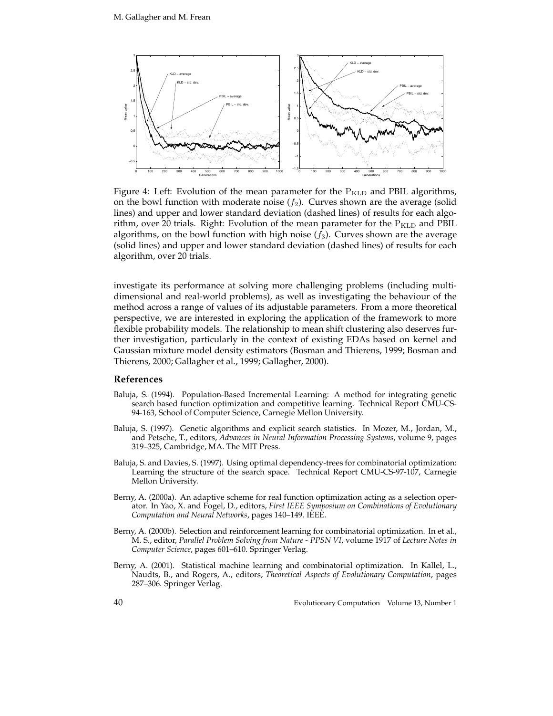

Figure 4: Left: Evolution of the mean parameter for the  $P_{KLD}$  and PBIL algorithms, on the bowl function with moderate noise  $(f_2)$ . Curves shown are the average (solid lines) and upper and lower standard deviation (dashed lines) of results for each algorithm, over 20 trials. Right: Evolution of the mean parameter for the  $P_{KLD}$  and PBIL algorithms, on the bowl function with high noise  $(f_3)$ . Curves shown are the average (solid lines) and upper and lower standard deviation (dashed lines) of results for each algorithm, over 20 trials.

investigate its performance at solving more challenging problems (including multidimensional and real-world problems), as well as investigating the behaviour of the method across a range of values of its adjustable parameters. From a more theoretical perspective, we are interested in exploring the application of the framework to more flexible probability models. The relationship to mean shift clustering also deserves further investigation, particularly in the context of existing EDAs based on kernel and Gaussian mixture model density estimators (Bosman and Thierens, 1999; Bosman and Thierens, 2000; Gallagher et al., 1999; Gallagher, 2000).

#### **References**

- Baluja, S. (1994). Population-Based Incremental Learning: A method for integrating genetic search based function optimization and competitive learning. Technical Report CMU-CS-94-163, School of Computer Science, Carnegie Mellon University.
- Baluja, S. (1997). Genetic algorithms and explicit search statistics. In Mozer, M., Jordan, M., and Petsche, T., editors, *Advances in Neural Information Processing Systems*, volume 9, pages 319–325, Cambridge, MA. The MIT Press.
- Baluja, S. and Davies, S. (1997). Using optimal dependency-trees for combinatorial optimization: Learning the structure of the search space. Technical Report CMU-CS-97-107, Carnegie Mellon University.
- Berny, A. (2000a). An adaptive scheme for real function optimization acting as a selection operator. In Yao, X. and Fogel, D., editors, *First IEEE Symposium on Combinations of Evolutionary Computation and Neural Networks*, pages 140–149. IEEE.
- Berny, A. (2000b). Selection and reinforcement learning for combinatorial optimization. In et al., M. S., editor, *Parallel Problem Solving from Nature - PPSN VI*, volume 1917 of *Lecture Notes in Computer Science*, pages 601–610. Springer Verlag.
- Berny, A. (2001). Statistical machine learning and combinatorial optimization. In Kallel, L., Naudts, B., and Rogers, A., editors, *Theoretical Aspects of Evolutionary Computation*, pages 287–306. Springer Verlag.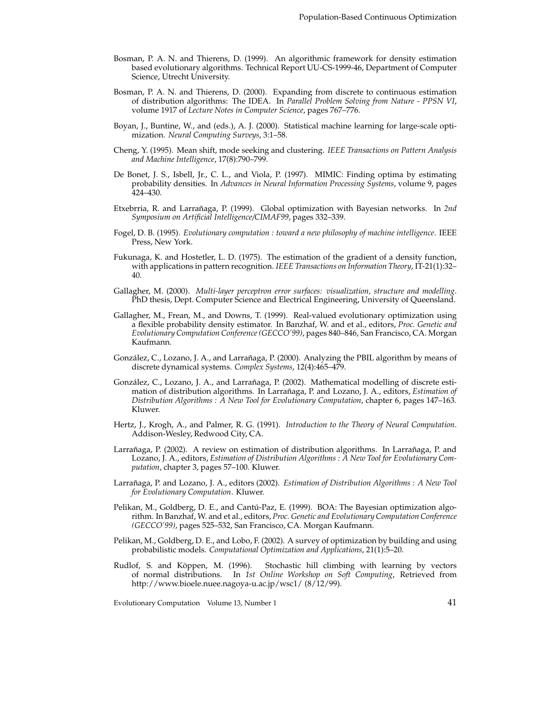- Bosman, P. A. N. and Thierens, D. (1999). An algorithmic framework for density estimation based evolutionary algorithms. Technical Report UU-CS-1999-46, Department of Computer Science, Utrecht University.
- Bosman, P. A. N. and Thierens, D. (2000). Expanding from discrete to continuous estimation of distribution algorithms: The IDEA. In *Parallel Problem Solving from Nature - PPSN VI*, volume 1917 of *Lecture Notes in Computer Science*, pages 767–776.
- Boyan, J., Buntine, W., and (eds.), A. J. (2000). Statistical machine learning for large-scale optimization. *Neural Computing Surveys*, 3:1–58.
- Cheng, Y. (1995). Mean shift, mode seeking and clustering. *IEEE Transactions on Pattern Analysis and Machine Intelligence*, 17(8):790–799.
- De Bonet, J. S., Isbell, Jr., C. L., and Viola, P. (1997). MIMIC: Finding optima by estimating probability densities. In *Advances in Neural Information Processing Systems*, volume 9, pages 424–430.
- Etxebrria, R. and Larrañaga, P. (1999). Global optimization with Bayesian networks. In 2nd *Symposium on Artificial Intelligence/CIMAF99*, pages 332–339.
- Fogel, D. B. (1995). *Evolutionary computation : toward a new philosophy of machine intelligence*. IEEE Press, New York.
- Fukunaga, K. and Hostetler, L. D. (1975). The estimation of the gradient of a density function, with applications in pattern recognition. *IEEE Transactions on Information Theory*, IT-21(1):32– 40.
- Gallagher, M. (2000). *Multi-layer perceptron error surfaces: visualization, structure and modelling*. PhD thesis, Dept. Computer Science and Electrical Engineering, University of Queensland.
- Gallagher, M., Frean, M., and Downs, T. (1999). Real-valued evolutionary optimization using a flexible probability density estimator. In Banzhaf, W. and et al., editors, *Proc. Genetic and Evolutionary Computation Conference (GECCO'99)*, pages 840–846, San Francisco, CA. Morgan Kaufmann.
- González, C., Lozano, J. A., and Larrañaga, P. (2000). Analyzing the PBIL algorithm by means of discrete dynamical systems. *Complex Systems*, 12(4):465–479.
- González, C., Lozano, J. A., and Larrañaga, P. (2002). Mathematical modelling of discrete estimation of distribution algorithms. In Larrañaga, P. and Lozano, J. A., editors, *Estimation of Distribution Algorithms : A New Tool for Evolutionary Computation*, chapter 6, pages 147–163. Kluwer.
- Hertz, J., Krogh, A., and Palmer, R. G. (1991). *Introduction to the Theory of Neural Computation*. Addison-Wesley, Redwood City, CA.
- Larrañaga, P. (2002). A review on estimation of distribution algorithms. In Larrañaga, P. and Lozano, J. A., editors, *Estimation of Distribution Algorithms : A New Tool for Evolutionary Computation*, chapter 3, pages 57–100. Kluwer.
- Larrañaga, P. and Lozano, J. A., editors (2002). *Estimation of Distribution Algorithms : A New Tool for Evolutionary Computation*. Kluwer.
- Pelikan, M., Goldberg, D. E., and Cantú-Paz, E. (1999). BOA: The Bayesian optimization algorithm. In Banzhaf, W. and et al., editors, *Proc. Genetic and Evolutionary Computation Conference (GECCO'99)*, pages 525–532, San Francisco, CA. Morgan Kaufmann.
- Pelikan, M., Goldberg, D. E., and Lobo, F. (2002). A survey of optimization by building and using probabilistic models. *Computational Optimization and Applications*, 21(1):5–20.
- Rudlof, S. and Köppen, M. (1996). Stochastic hill climbing with learning by vectors of normal distributions. In *1st Online Workshop on Soft Computing*, Retrieved from http://www.bioele.nuee.nagoya-u.ac.jp/wsc1/ (8/12/99).

Evolutionary Computation Volume 13, Number 1 41